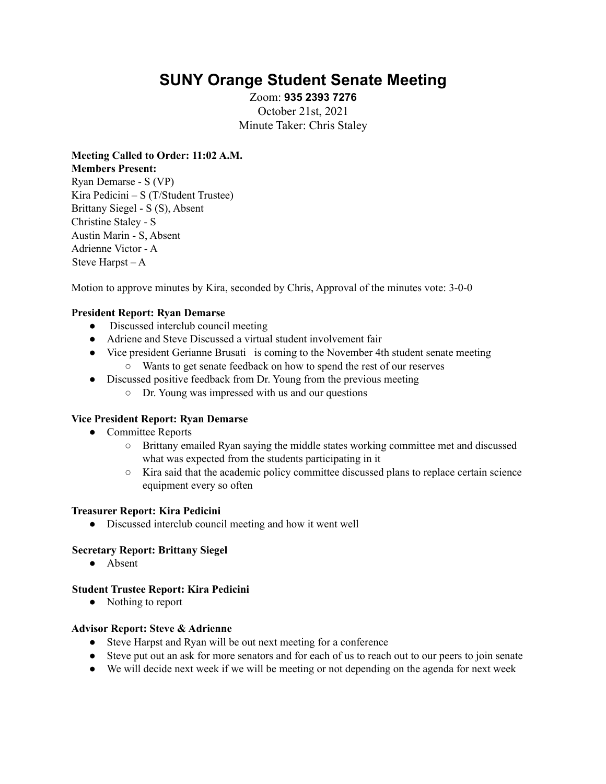# **SUNY Orange Student Senate Meeting**

Zoom: **935 2393 7276** October 21st, 2021 Minute Taker: Chris Staley

**Meeting Called to Order: 11:02 A.M. Members Present:** Ryan Demarse - S (VP)

Kira Pedicini – S (T/Student Trustee) Brittany Siegel - S (S), Absent Christine Staley - S Austin Marin - S, Absent Adrienne Victor - A Steve Harpst – A

Motion to approve minutes by Kira, seconded by Chris, Approval of the minutes vote: 3-0-0

# **President Report: Ryan Demarse**

- Discussed interclub council meeting
- Adriene and Steve Discussed a virtual student involvement fair
- Vice president Gerianne Brusati is coming to the November 4th student senate meeting
	- Wants to get senate feedback on how to spend the rest of our reserves
- Discussed positive feedback from Dr. Young from the previous meeting
	- Dr. Young was impressed with us and our questions

## **Vice President Report: Ryan Demarse**

- Committee Reports
	- Brittany emailed Ryan saying the middle states working committee met and discussed what was expected from the students participating in it
	- Kira said that the academic policy committee discussed plans to replace certain science equipment every so often

#### **Treasurer Report: Kira Pedicini**

● Discussed interclub council meeting and how it went well

#### **Secretary Report: Brittany Siegel**

● Absent

#### **Student Trustee Report: Kira Pedicini**

• Nothing to report

#### **Advisor Report: Steve & Adrienne**

- Steve Harpst and Ryan will be out next meeting for a conference
- Steve put out an ask for more senators and for each of us to reach out to our peers to join senate
- We will decide next week if we will be meeting or not depending on the agenda for next week